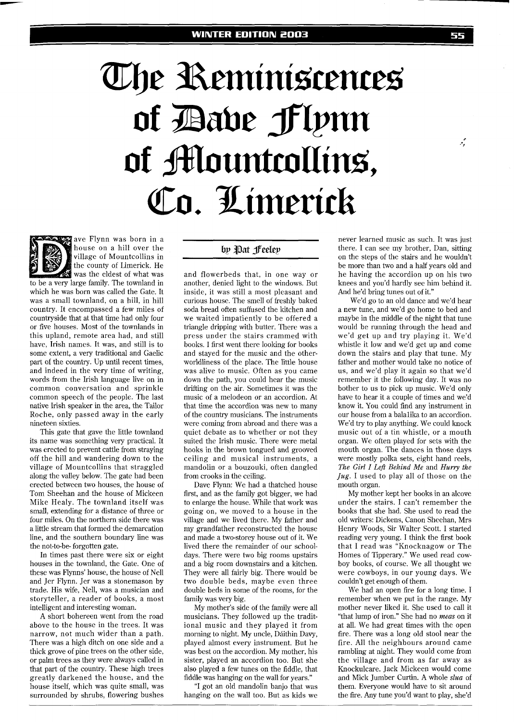## The Reminiscences of Bave Flynn of Mountcollins, Co. Limerick



house on a hill over the village of Mountcollins in the county of Limerick. He was the eldest of what was to be a very large familv. The townland in which he was born was called the Gate. It was a small townland, on a hill, in hill country. It encompassed a few miles of countryside that at that time had only four or five houses. Most of the townlands in this upland, remote area had, and still have, Irish names. It was, and still is to some extent, a very traditional and Gaelic part of the country. Up until recent times, and indeed in the very time of writing, words from the Irish language live on in common conversation and sprinkle common speech of the people. The last native Irish speaker in the area, the Tailor Roche, only passed away in the early nineteen sixties.

This gate that gave the little townland its name was something very practical. It was erected to prevent cattle from straying off the hill and wandering down to the village of Mountcollins that straggled along the valley below. The gate had been erected between two houses, the house of Tom Sheehan and the house of Mickeen Mike Healv. The townland itself was small, extending for a distance of three or four miles. On the northern side there was a little stream that formed the demarcation line, and the southern boundary line was the not-to-be- forgotten gate.

In times past there were six or eight houses in the townland, the Gate. One of these was Flynns' house, the house of Nell and Jer Flynn. Jer was a stonemason by trade. His wife, Nell, was a musician and storyteller, a reader of books, a most intelligent and interesting woman.

A short bohereen went from the road above to the house in the trees. It was narrow, not much wider than a path. There was a high ditch on one side and a thick grove of pine trees on the other side, or palm trees as they were always called in that part of the country. These high trees greatly darkened the house, and the house itself, which was quite small, was surrounded by shrubs, flowering bushes

## by Pat Feeley

and flowerbeds that, in one way or another, denied light to the windows. But inside, it was still a most pleasant and curious house. The smell of freshly baked soda bread often suffused the kitchen and we waited impatiently to be offered a triangle dripping with butter. There was a press under the stairs crammed with books. I first went there looking for books and stayed for the music and the otherworldliness of the place. The little house was alive to music. Often as you came down the path, you could hear the music drifting on the air. Sometimes it was the music of a melodeon or an accordion. At that time the accordion was new to many of the country musicians. The instruments were coming from abroad and there was a quiet debate as to whether or not they suited the Irish music. There were metal hooks in the brown tongued and grooved ceiling and musical instruments, a mandolin or a bouzouki, often dangled from crooks in the ceiling.

Dave Flynn: We had a thatched house first, and as the family got bigger, we had to enlarge the house. While that work was going on, we moved to a house in the village and we lived there. My father and my grandfather reconstructed the house and made a two-storey house out of it. We lived there the remainder of our schooldays. There were two big rooms upstairs and a big room downstairs and a kitchen. They were all fairly big. There would be two double beds, maybe even three double beds in some of the rooms, for the family was very big.

My mother's side of the family were all musicians. They followed up the traditional music and they played it from morning to night. My uncle, Dáithin Davy, played almost every instrument. But he was best on the accordion. My mother, his sister, played an accordion too. But she also played a few tunes on the fiddle, that fiddle was hanging on the wall for years."

"I got an old mandolin banjo that was hanging on the wall too. But as kids we never learned music as such. It was just there. I can see my brother, Dan, sitting on the steps of the stairs and he wouldn't be more than two and a half years old and he having the accordion up on his two knees and you'd hardly see him behind it. And he'd bring tunes out of it."

We'd go to an old dance and we'd hear a new tune, and we'd go home to bed and maybe in the middle of the night that tune would be running through the head and we'd get up and try playing it. We'd whistle it low and we'd get up and come down the stairs and play that tune. My father and mother would take no notice of us, and we'd play it again so that we'd remember it the following day. It was no bother to us to pick up music. We'd only have to hear it a couple of times and we'd know it. You could find any instrument in our house from a balalika to an accordion. We'd try to play anything. We could knock music out of a tin whistle, or a mouth organ. We often played for sets with the mouth organ. The dances in those days were mostly polka sets, eight hand reels, *The Girl I Left Behind Me* and *Hurry the*  Jug. I used to play all of those on the mouth organ.

My mother kept her books in an alcove under the stairs. I can't remember the books that she had. She used to read the old writers: Dickens, Canon Sheehan, Mrs Henry Woods, Sir Walter Scott. I started reading very young. I think the first book that I read was "Knocknagow or The Homes of Tipperary." We used read cowboy books, of course. We all thought we were cowboys, in our young days. We couldn't get enough of them.

We had an open fire for a long time. I remember when we put in the range. My mother never liked it. She used to call it "that lump of iron." She had no *meas* on it at all. We had great times with the open fire. There was a long old stool near the fire. All the neighbours around came rambling at night. They would come from the village and from as far away as Knockulcare. Jack Mickeen would come and Mick Jumber Curtin. A whole *slua* of them. Everyone would have to sit around the fire. Any tune you'd want to play, she'd

تنبيه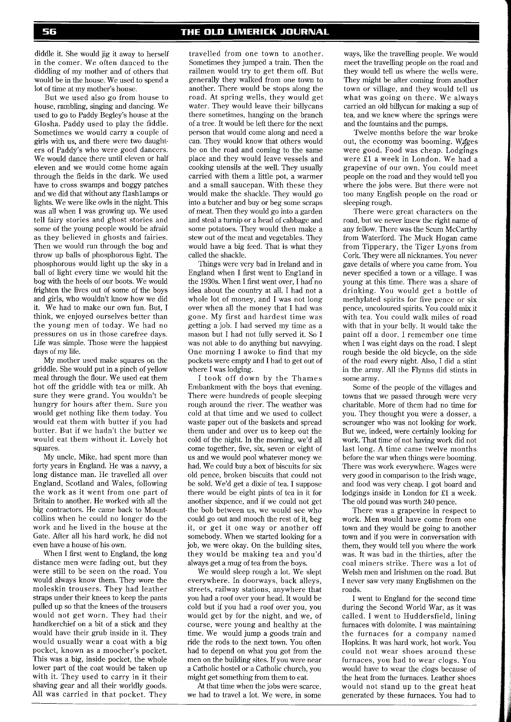diddle it. She would jig it away to herself in the comer. We often danced to the diddling of my mother and of others that would be in the house. We used to spend a lot of time at my mother's house.

But we used also go from house to house, rambling, singing and dancing. We used to go to Paddy Begley's house at the Glosha. Paddy used to play the fiddle. Sometimes we would carry a couple of girls with us, and there were two daughters of Paddy's who were good dancers. We would dance there until eleven or half eleven and we would come home again through the fields in the dark. We used have to cross swamps and boggy patches and we did that without any flashlamps or lights. We were like owls in the night. This was all when I was growing up. We used tell fairy stories and ghost stories and some of the young people would be afraid as they believed in ghosts and fairies. Then we would run through the bog and throw up balls of phosphorous light. The phosphorous would light up the sky in a ball of light every time we would hit the bog with the heels of our boots. We would frighten the lives out of some of the boys and girls, who wouldn't know how we did it. We had to make our own fun. But, I think, we enjoyed ourselves better than the young men of today. We had no pressures on us in those carefree days. Life was simple. Those were the happiest days of my life.

My mother used make squares on the griddle. She would put in a pinch of yellow meal through the flour. We used eat them hot off the griddle with tea or milk. Ah sure they were grand. You wouldn't be hungry for hours after them. Sure you would get nothing like them today. You would eat them with butter if you had butter. But if we hadn't the butter we would eat them without it. Lovely hot squares.

My uncle, Mike, had spent more than forty years in England. He was a navvy, a long distance man. He travelled all over England, Scotland and Wales, following the work as it went from one part of Britain to another. He worked with all the big contractors. He came back to Mountcollins when he could no longer do the work and he lived in the house at the Gate. After all his hard work, he did not even have a house of his own.

When I first went to England, the long distance men were fading out, but they were still to be seen on the road. You would always know them. They wore the moleskin trousers. They had leather straps under their knees to keep the pants pulled up so that the knees of the trousers would not get worn. They had their handkerchief on a bit of a stick and they would have their grub inside in it. They would usually wear a coat with a big pocket, known as a moocher's pocket. This was a big, inside pocket, the whole lower part of the coat would be taken up with it. They used to carry in it their shaving gear and all their worldly goods. All was carried in that pocket. They

travelled from one town to another. Sometimes they jumped a train. Then the railmen would try to get them off. But generally they walked from one town to another. There would be stops along the road. At spring wells, they would get water. They would leave their billycans there sometimes, hanging on the branch of a tree. It would be left there for the next person that would come along and need a can. They would know that others would be on the road and coming to the same place and they would leave vessels and cooking utensils at the well. They usually carried with them a little pot, a warmer and a small saucepan. With these they would make the shackle. They would go into a butcher and buy or beg some scraps of meat. Then they would go into a garden and steal a turnip or a head of cabbage and some potatoes. They would then make a stew out of the meat and vegetables. They would have a big feed. That is what they called the shackle.

Things were very bad in Ireland and in England when I first went to England in the 1930s. When I first went over, I had no idea about the country at all. I had not a whole lot of money, and I was not long over when all the money that I had was gone. My first and hardest time was getting a job. I had served my time as a mason but I had not fully served it. So I was not able to do anything but navvying. One morning I awoke to find that my pockets were empty and I had to get out of where I was lodging.

I took off down by the Thames Embankment with the boys that evening. There were hundreds of people sleeping rough around the river. The weather was cold at that time and we used to collect waste paper out of the baskets and spread them under and over us to keep out the cold of the night. In the morning, we'd all come together, five, six, seven or eight of us and we would pool whatever money we had. We could buy a box of biscuits for six old pence, broken biscuits that could not be sold. We'd get a dixie of tea. I suppose there would be eight pints of tea in it for another sixpence, and if we could not get the bob between us, we would see who could go out and mooch the rest of it, beg it, or get it one way or another off somebody. When we started looking for a job, we were okay. On the building sites, they would be making tea and you'd always get a mug of tea from the boys.

We would sleep rough a lot. We slept everywhere. In doorways, back alleys, streets, railway stations, anywhere that you had a roof over your head. It would be cold but if you had a roof over you, you would get by for the night, and we, of course, were young and healthy at the time. We would jump a goods train and ride the rods to the next town. You often had to depend on what you got from the men on the building sites. If you were near a Catholic hostel or a Catholic church, you might get something from them to eat.

At that time when the jobs were scarce, we had to travel a lot. We were, in some

ways, like the travelling people. We would meet the travelling people on the road and they would tell us where the wells were. They might be after coming from another town or village, and they would tell us what was going on there. We always carried an old billycan for making a sup of tea, and we knew where the springs were and the fountains and the pumps.

Twelve months before the war broke out, the economy was booming. Wages were good. Food was cheap. Lodgings were El a week in London. We had a grapevine of our own. You could meet people on the road and they would tell you where the jobs were. But there were not too many English people on the road or sleeping rough.

There were great characters on the road, but we never knew the right name of any fellow. There was the Scum McCarthy from Waterford. The Muck Hogan came from Tipperary, the Tiger Lyons from Cork. They were all nicknames. You never gave details of where you came from. You never specified a town or a village. I was young at this time. There was a share of drinking. You would get a bottle of methylated spirits for five pence or six pence, uncoloured spirits. You could mix it with tea. You could walk miles of road with that in vour bellv. It would take the paint off a door. I remember one time when I was eight days on the road. I slept rough beside the old bicycle, on the side of the road every night. Also, I did a stint in the army. All the Flynns did stints in some army.

Some of the people of the villages and towns that we passed through were very charitable. More of them had no time for you. They thought you were a dosser, a scrounger who was not looking for work. But we, indeed, were certainly looking for work. That time of not having work did not last long. A time came twelve months before the war when things were booming. There was work everywhere. Wages were very good in comparison to the Irish wage, and food was very cheap. I got board and lodgings inside in London for £l a week. The old pound was worth 240 pence.

There was a grapevine in respect to work. Men would have come from one town and they would be going to another town and if you were in conversation with them, they would tell you where the work was. It was bad in the thirties, after the coal miners strike. There was a lot of Welsh men and Irishmen on the road. But I never saw very many Englishmen on the roads.

I went to England for the second time during the Second World War, as it was called. I went to Huddersfield, lining furnaces with dolomite. I was maintaining the furnaces for a company named Hopkins. It was hard work, hot work. You could not wear shoes around these furnaces, you had to wear clogs. You would have to wear the clogs because of the heat from the furnaces. Leather shoes would not stand up to the great heat generated by these furnaces. You had to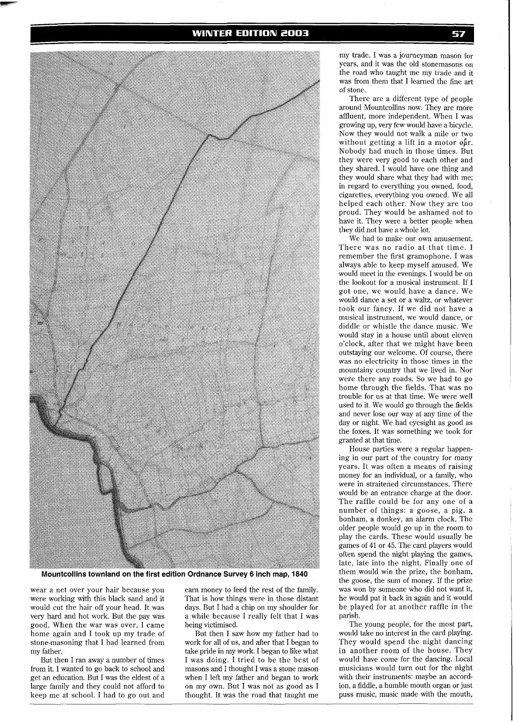

**Mountcollins townland on the first edition Ordnance Survey 6 inch map, 1840** 

wear a net over your hair because you were working with this black sand and it would cut the hair off your head. It was very hard and hot work. But the pay was good. When the war was over, I came home again and I took up my trade of stone-masoning that I had learned from my father.

But then I ran away a number of times from it. I wanted to go back to school and get an education. But I was the eldest of a large family and they could not afford to keep me at school. I had to go out and

earn money to feed the rest of the family. That is how things were in those distant days. But I had a chip on my shoulder for a while because I really felt that I was being victimised.

But then I saw how my father had to work for all of us, and after that I began to take pride in my work. I began to like what I was doing. I tried to be the best of masons and I thought I was a stone mason when I left my father and began to work on my own. But I was not as good as I thought. It was the road that taught me

my trade. I was a journeyman mason for years, and it was the old stonemasons on the road who taught me my trade and it was from them that I learned the fine art of stone.

There are a different type of people around Mountcollins now. They are more affluent, more independent. When I was growing up, very few would have a bicycle. Now they would not walk a mile or two without getting a lift in a motor car. Nobody had much in those times. But they were very good to each other and they shared. I would have one thing and they would share what they had with me; in regard to everything you owned, food, cigarettes, everything you owned. We all helped each other. Now they are too proud. They would be ashamed not to have it. They were a better people when they did not have a whole lot.

We had to make our own amusement. There was no radio at that time. I remember the first gramophone. I was always able to keep myself amused. We would meet in the evenings. I would be on the lookout for a musical instrument. If I got one, we would have a dance. We would dance a set or a waltz, or whatever took our fancy. If we did not have a musical instrument, we would dance, or diddle or whistle the dance music. We would stay in a house until about eleven o'clock, after that we might have been outstaying our welcome. Of course, there was no electricity in those times in the mountainy country that we lived in. Nor were there any roads. So we had to go home through the fields. That was no trouble for us at that time. We were well used to it. We would go through the fields and never lose our way at any time of the day or night. We had eyesight as good as the foxes. It was something we took for granted at that time.

House parties were a regular happening in our part of the country for many years. It was often a means of raising money for an individual, or a family, who were in straitened circumstances. There would be an entrance charge at the door. The raffle could be for any one of a number of things: a goose, a pig, a bonham, a donkey, an alarm clock. The older people would go up in the room to play the cards. These would usually be games of 41 or 45. The card players would often spend the night playing the games, late, late into the night. Finally one of them would win the prize, the bonham, the goose, the sum of money. If the prize was won by someone who did not want it, he would put it back in again and it would be played for at another raffle in the parish.

The young people, for the most part, would take no interest in the card playing. They would spend the night dancing in another room of the house. They would have come for the dancing. Local musicians would turn out for the night with their instruments: maybe an accordion, a fiddle, a humble mouth organ or just puss music, music made with the mouth,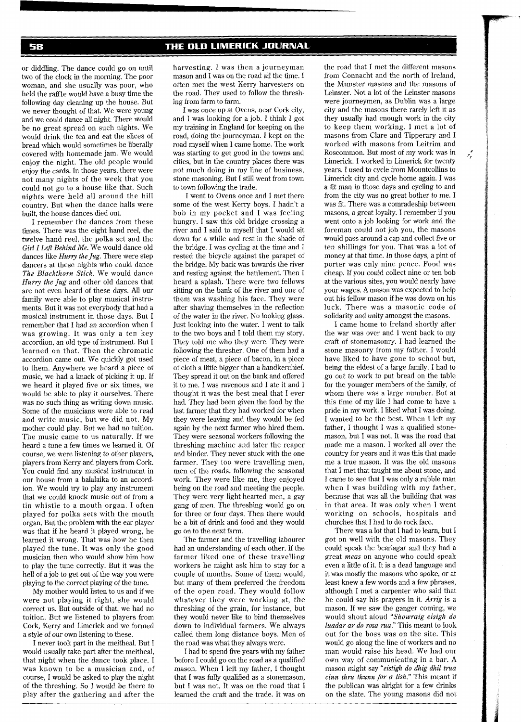## THE OLD LIMERICK JOURNAL

58

or diddling. The dance could go on until two of the clock in the morning. The poor woman, and she usually was poor, who held the raffle would have a busy time the following day cleaning up the house. But we never thought of that. We were young and we could dance all night. There would be no great spread on such nights. We would drink the tea and eat the slices of bread which would sometimes be liberally covered with homemade jam. We would enjoy the night. The old people would enjoy the cards. In those years, there were not many nights of the week that you could not go to a house like that. Such nights were held all around the hill country. But when the dance halls were built, the house dances died out.

I remember the dances from these times. There was the eight hand reel, the twelve hand reel, the polka set and the *Girl* I *Lefi Behind Me.* We would dance old dances like *Hurry the Jug.* There were step dancers at these nights who could dance *The Blackthorn Stick.* We would dance *Hurry the Jug* and other old dances that are not even heard of these days. All our family were able to play musical instruments. But it was not everybody that had a musical instrument in those days. But I remember that I had an accordion when I was growing. It was only a ten key accordion, an old type of instrument. But I learned on that. Then the chromatic accordion came out. We quickly got used to them. Anywhere we heard a piece of music, we had a knack of picking it up. If we heard it played five or six times, we would be able to play it ourselves. There was no such thing as writing down music. Some of the musicians were able to read and write music, but we did not. My mother could play. Rut we had no tuition. The music came to us naturally. If we heard a tune a few times we learned it. Of course, we were listening to other players, players from Kerry and players from Cork. You could find any musical instrument in our house from a balalaika to an accordion. We would try to play any instrument that we could knock music out of from a tin whistle to a mouth organ. I often played for polka sets with the mouth organ. But the problem with the ear player was that if he heard it played wrong, he learned it wrong. That was how he then played the tune. It was only the good musician then who would show him how to play the tune correctly. But it was the hell of a job to get out of the way you were playing to the correct playing of the tune.

My mother would listen to us and if we were not playing it right, she would correct us. But outside of that, we had no tuition. But we listened to players from Cork, Kerry and Limerick and we formed a style of our own listening to these.

I never took part in the meitheal. But I would usually take part after the meitheal, that night when the dance took place. I was known to be a musician and, of course, I would be asked to play the night of the threshing. So I would be there to play after the gathering and after the harvesting. I was then a journeyman mason and I was on the road all the time. I often met the west Kerry harvesters on the road. They used to follow the threshing from farm to farm.

I was once up at Ovens, near Cork city, and I was looking for a job. I think I got my training in England for keeping on the road, doing the journeyman. I kept on the road myself when I came home. The work was starting to get good in the towns and cities, but in the country places there was not much doing in my line of business, stone masoning. But I still went from town to town following the trade.

I went to Ovens once and I met there some of the west Kerry boys. I hadn't a bob in my pocket and I was feeling hungry. I saw this old bridge crossing a river and I said to myself that I would sit down for a while and rest in the shade of the bridge. I was cycling at the time and I rested the bicycle against the parapet of the bridge. My back was towards the river and resting against the battlement. Then I heard a splash. There were two fellows sitting on the bank of the river and one of them was washing his face. They were after shaving themselves in the reflection of the water in the river. No looking glass. Just looking into the water. I went to talk to the two boys and I told them my story. They told me who they were. They were following the thresher. One of them had a piece of meat, a piece of bacon, in a piece of cloth a little bigger than a handkerchief. They spread it out on the bank and offered it to me. 1 was ravenous and I ate it and I thought it was the best meal that I ever had. They had been given the food by the last farmer that they had worked for when they were leaving and they would be fed again by the next farmer who hired them. They were seasonal workers following the threshing machine and later the reaper and binder. They never stuck with the one farmer. They too were travelling men, men of the roads, following the seasonal work. They were like me, they enjoyed being on the road and meeting the people. They were very light-hearted men, a gay gang of men. The threshing would go on for three or four days. Then there would be a bit of drink and food and they would go on to the next farm.

The farmer and the travelling labourer had an understanding of each other. If the farmer liked one of these travelling workers he might ask him to stay for a couple of months. Some of them would, but many of them preferred the freedom of the open road. They would follow whatever they were working at, the threshing of the grain, for instance, but they would never like to bind themselves down to individual farmers. We always called them long distance boys. Men of the road was what they always were.

I had to spend five years with my father before I could go on the road as a qualified mason. When I left my father, I thought that I was fully qualified as a stonemason, but I was not. It was on the road that I learned the craft and the trade. It was on the road that I met the different masons from Connacht and the north of Ireland, the Munster masons and the masons of Leinster. Not a lot of the Leinster masons were journeymen, as Dublin was a large city and the masons there rarely left it as they usually had enough work in the city to keep them working. I met a lot of masons from Clare and Tipperary and I worked with masons from Leitrim and Roscommon. But most of my work was in Limerick. I worked in Limerick for twenty years. I used to cycle from Mountcollins to Limerick city and cycle home again. I was a fit man in those days and cycling to and from the city was no great bother to me. I was fit. There was a comradeship between masons, a great loyalty. I remember if you went onto a job looking for work and the foreman could not job you, the masons would pass around a cap and collect five or ten shillings for you. That was a lot of money at that time. In those days, a pint of porter was only nine pence. Food was cheap. If you could collect nine or ten bob at the various sites, you would nearly have your wages. A mason was expected to help out his fellow mason if he was down on his luck. There was a masonic code of solidarity and unity amongst the masons.

 $\mathcal{L}$ 

I came home to Ireland shortly after the war was over and I went back to my craft of stonemasonry. I had learned the stone masonry from my father. I would have liked to have gone to school but, being the eldest of a large family, I had to go out to work to put bread on the table for the younger members of the family, of whom there was a large number. But at this time of my life I had come to have a pride in my work. I liked what I was doing. I wanted to be the best. When I left my father, I thought I was a qualified stonemason, but I was not. It was the road that made me a mason. I worked all over the country for years and it was this that made me a true mason. It was the old masons that I met that taught me about stone, and I came to see that I was only a rubble man when I was building with my father, because that was all the building that was in that area. It was only when I went working on schools, hospitals and churches that 1 had to do rock face.

There was a lot that I had to learn, but I got on well with the old masons. They could speak the bearlagar and they had a great *meas* on anyone who could speak even a little of it. It is a dead language and it was mostly the masons who spoke, or at least knew a few words and a few phrases, although I met a carpenter who said that he could say his prayers in it. *Awig* is a mason. If we saw the ganger coming, we would shout aloud *"Showraig eisigk do luadar ar do rosa rua."* This meant to look out for the boss was on the site. This would go along the line of workers and no man would raise his head. We had our own way of communicating in a bar. A mason might say *"eistigh do dhig dhil trua cinn thru thunn for a tish."* This meant if the publican was alright for a few drinks on the slate. The young masons did not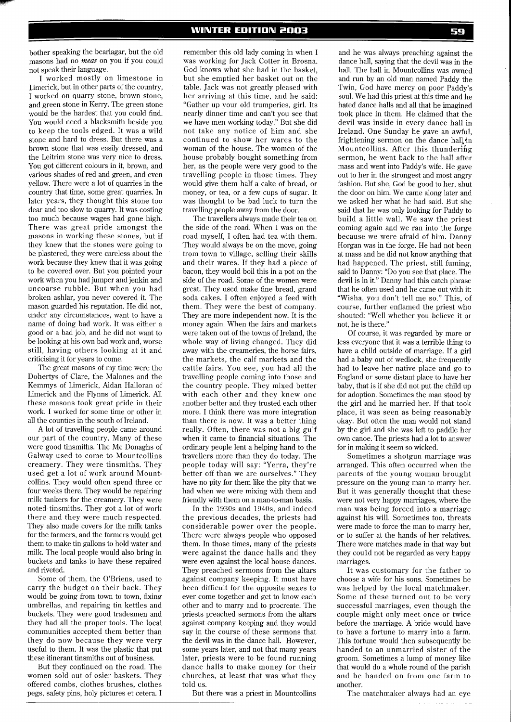bother speaking the bearlagar, but the old masons had no *meas* on you if you could not speak their language.

I worked mostly on limestone in Limerick, but in other parts of the country, I worked on quarry stone, brown stone, and green stone in Kerry. The green stone would be the hardest that you could find. You would need a blacksmith beside you to keep the tools edged. It was a wild stone and hard to dress. But there was a brown stone that was easily dressed, and the Leitrim stone was very nice to dress. You got different colours in it, brown, and various shades of red and green, and even yellow. There were a lot of quarries in the country that time, some great quarries. In later years, they thought this stone too dear and too slow to quarry. It was costing too much because wages had gone high. There was great pride amongst the masons in working these stones, but if they knew that the stones were going to be plastered, they were careless about the work because they knew that it was going to be covered over. But you pointed your work when you had jumper and jenkin and uncoarse rubble. But when you had broken ashlar, you never covered it. The mason guarded his reputation. He did not, under any circumstances, want to have a name of doing bad work. It was either a good or a bad job, and he did not want to be looking at his own bad work and, worse still, having others looking at it and criticising it for years to come.

The great masons of my time were the Dohertys of Clare, the Malones and the Kemmys of Limerick, Aidan Halloran of Limerick and the Flynns of Limerick. All these masons took great pride in their work. I worked for some time or other in all the counties in the south of Ireland.

A lot of travelling people came around our part of the country. Many of these were good tinsmiths. The MC Donaghs of Galway used to come to Mountcollins creamery. They were tinsmiths. They used get a lot of work around Mountcollins. They would often spend three or four weeks there. They would be repairing milk tankers for the creamery. They were noted tinsmiths. They got a lot of work there and they were much respected. They also made covers for the milk tanks for the farmers, and the farmers would get them to make tin gallons to hold water and milk. The local people would also bring in buckets and tanks to have these repaired and riveted.

Some of them, the O'Briens, used to carry the budget on their back. They would be going from town to town, fixing umbrellas, and repairing tin kettles and buckets. They were good tradesmen and they had all the proper tools. The local communities accepted them better than they do now because they were very useful to them. It was the plastic that put these itinerant tinsmiths out of business.

But they continued on the road. The women sold out of osier baskets. They offered combs, clothes brushes, clothes pegs, safety pins, holy pictures et cetera. I

remember this old lady coming in when I was working for Jack Cotter in Brosna. God knows what she had in the basket, but she emptied her basket out on the table. Jack was not greatly pleased with her arriving at this time, and he said: "Gather up your old trumperies, girl. Its nearly dinner time and can't you see that we have men working today." But she did not take any notice of him and she continued to show her wares to the woman of the house. The women of the house probably bought something from her, as the people were very good to the travelling people in those times. They would give them half a cake of bread, or money, or tea, or a few cups of sugar. It was thought to be bad luck to turn the travelling people away from the door.

The travellers always made their tea on the side of the road. When I was on the road myself, I often had tea with them. They would always be on the move, going from town to village, selling their skills and their wares. If they had a piece of bacon, they would boil this in a pot on the side of the road. Some of the women were great. They used make fine bread, grand soda cakes. I often enjoyed a feed with them. They were the best of company. They are more independent now. It is the money again. When the fairs and markets were taken out of the towns of Ireland, the whole way of living changed. They did away with the creameries, the horse fairs, the markets, the calf markets and the cattle fairs. You see, you had all the travelling people coming into those and the country people. They mixed better with each other and they knew one another better and they trusted each other more. I think there was more integration than there is now. It was a better thing really. Often, there was not a big gulf when it came to financial situations. The ordinary people lent a helping hand to the travellers more than they do today. The people today will say: "Yerra, they're better off than we are ourselves." They have no pity for them like the pity that we had when we were mixing with them and friendly with them on a man-to-man basis.

In the 1930s and 1940s, and indeed the previous decades, the priests had considerable power over the people. There were always people who opposed them. In those times, many of the priests were against the dance halls and they were even against the local house dances. They preached sermons from the altars against company keeping. It must have been difficult for the opposite sexes to ever come together and get to know each other and to marry and to procreate. The priests preached sermons from the altars against company keeping and they would say in the course of these sermons that the devil was in the dance hall. However, some years later, and not that many years later, priests were to be found running dance halls to make money for their churches, at least that was what they told us.

But there was a priest in Mountcollins

and he was always preaching against the dance hall, saying that the devil was in the hall. The hall in Mountcollins was owned and run by an old man named Paddy the Twin, God have mercy on poor Paddy's soul. We had this priest at this time and he hated dance halls and all that he imagined took place in them. He claimed that the devil was inside in every dance hall in Ireland. One Sunday he gave an awful, frightening sermon on the dance hall in Mountcollins. After this thundering sermon, he went back to the hall after mass and went into Paddy's wife. He gave out to her in the strongest and most angry fashion. But she, God be good to her, shut the door on him. We came along later and we asked her what he had said. But she said that he was only looking for Paddy to build a little wall. We saw the priest coming again and we ran into the forge because we were afraid of him. Danny Horgan was in the forge. He had not been at mass and he did not know anything that had happened. The priest, still fuming, said to Danny: "Do you see that place. The devil is in it." Danny had this catch phrase that he often used and he came out with it: "Wisha, you don't tell me so." This, of course, further enflamed the priest who shouted: "Well whether you believe it or not, he is there."

Of course, it was regarded by more or less everyone that it was a terrible thing to have a child outside of marriage. If a girl had a baby out of wedlock, she frequently had to leave her native place and go to England or some distant place to have her baby, that is if she did not put the child up for adoption. Sometimes the man stood by the girl and he married her. If that took place, it was seen as being reasonably okay. But often the man would not stand by the girl and she was left to paddle her own canoe. The priests had a lot to answer for in making it seem so wicked.

Sometimes a shotgun marriage was arranged. This often occurred when the parents of the young woman brought pressure on the young man to marry her. But it was generally thought that these were not very happy marriages, where the man was being forced into a marriage against his will. Sometimes too, threats were made to force the man to marry her, or to suffer at the hands of her relatives. There were matches made in that way but they could not be regarded as very happy marriages.

It was customary for the father to choose a wife for his sons. Sometimes he was helped by the local matchmaker. Some of these turned out to be very successful marriages, even though the couple might only meet once or twice before the marriage. A bride would have to have a fortune to marry into a farm. This fortune would then subsequently be handed to an unmarried sister of the groom. Sometimes a lump of money like that would do a whole round of the parish and be handed on from one farm to another.

The matchmaker always had an eye